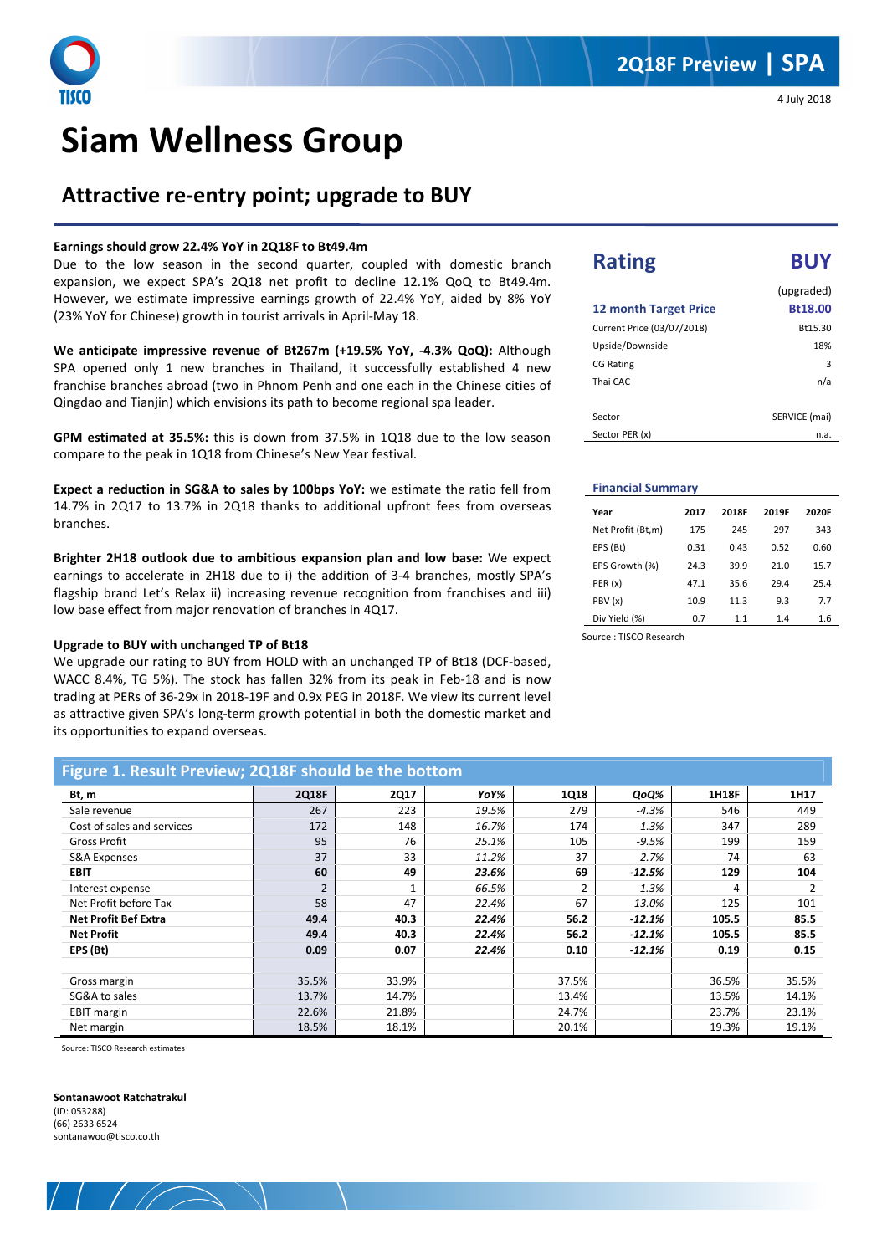## **Attractive re-entry point; upgrade to BUY**

#### **Earnings should grow 22.4% YoY in 2Q18F to Bt49.4m**

Due to the low season in the second quarter, coupled with domestic branch expansion, we expect SPA's 2Q18 net profit to decline 12.1% QoQ to Bt49.4m. However, we estimate impressive earnings growth of 22.4% YoY, aided by 8% YoY (23% YoY for Chinese) growth in tourist arrivals in April-May 18.

**We anticipate impressive revenue of Bt267m (+19.5% YoY, -4.3% QoQ):** Although SPA opened only 1 new branches in Thailand, it successfully established 4 new franchise branches abroad (two in Phnom Penh and one each in the Chinese cities of Qingdao and Tianjin) which envisions its path to become regional spa leader.

**GPM estimated at 35.5%:** this is down from 37.5% in 1Q18 due to the low season compare to the peak in 1Q18 from Chinese's New Year festival.

**Expect a reduction in SG&A to sales by 100bps YoY:** we estimate the ratio fell from 14.7% in 2Q17 to 13.7% in 2Q18 thanks to additional upfront fees from overseas branches.

**Brighter 2H18 outlook due to ambitious expansion plan and low base:** We expect earnings to accelerate in 2H18 due to i) the addition of 3-4 branches, mostly SPA's flagship brand Let's Relax ii) increasing revenue recognition from franchises and iii) low base effect from major renovation of branches in 4Q17.

#### **Upgrade to BUY with unchanged TP of Bt18**

We upgrade our rating to BUY from HOLD with an unchanged TP of Bt18 (DCF-based, WACC 8.4%, TG 5%). The stock has fallen 32% from its peak in Feb-18 and is now trading at PERs of 36-29x in 2018-19F and 0.9x PEG in 2018F. We view its current level as attractive given SPA's long-term growth potential in both the domestic market and its opportunities to expand overseas.

4 July 2018

## **Rating BUY** (upgraded) **12 month Target Price Bt18.00**  Current Price (03/07/2018) Bt15.30 Upside/Downside 18% CG Rating 3 Thai CAC n/a

| Sector         | SERVICE (mai) |
|----------------|---------------|
| Sector PER (x) | n.a.          |

#### **Financial Summary**

i

| Year              | 2017 | 2018F | 2019F | 2020F |
|-------------------|------|-------|-------|-------|
| Net Profit (Bt,m) | 175  | 245   | 297   | 343   |
| EPS (Bt)          | 0.31 | 0.43  | 0.52  | 0.60  |
| EPS Growth (%)    | 24.3 | 39.9  | 21.0  | 15.7  |
| PER (x)           | 47.1 | 35.6  | 29.4  | 25.4  |
| PBV (x)           | 10.9 | 11.3  | 9.3   | 7.7   |
| Div Yield (%)     | 0.7  | 1.1   | 1.4   | 1.6   |

Source : TISCO Research

| Figure 1. Result Preview; 2Q18F should be the bottom |                |             |       |             |          |              |       |
|------------------------------------------------------|----------------|-------------|-------|-------------|----------|--------------|-------|
| Bt, m                                                | 2Q18F          | <b>2Q17</b> | YoY%  | <b>1Q18</b> | QoQ%     | <b>1H18F</b> | 1H17  |
| Sale revenue                                         | 267            | 223         | 19.5% | 279         | $-4.3%$  | 546          | 449   |
| Cost of sales and services                           | 172            | 148         | 16.7% | 174         | $-1.3%$  | 347          | 289   |
| <b>Gross Profit</b>                                  | 95             | 76          | 25.1% | 105         | $-9.5%$  | 199          | 159   |
| <b>S&amp;A Expenses</b>                              | 37             | 33          | 11.2% | 37          | $-2.7%$  | 74           | 63    |
| <b>EBIT</b>                                          | 60             | 49          | 23.6% | 69          | $-12.5%$ | 129          | 104   |
| Interest expense                                     | $\overline{2}$ |             | 66.5% |             | 1.3%     | 4            | 2     |
| Net Profit before Tax                                | 58             | 47          | 22.4% | 67          | $-13.0%$ | 125          | 101   |
| <b>Net Profit Bef Extra</b>                          | 49.4           | 40.3        | 22.4% | 56.2        | $-12.1%$ | 105.5        | 85.5  |
| <b>Net Profit</b>                                    | 49.4           | 40.3        | 22.4% | 56.2        | $-12.1%$ | 105.5        | 85.5  |
| EPS (Bt)                                             | 0.09           | 0.07        | 22.4% | 0.10        | $-12.1%$ | 0.19         | 0.15  |
|                                                      |                |             |       |             |          |              |       |
| Gross margin                                         | 35.5%          | 33.9%       |       | 37.5%       |          | 36.5%        | 35.5% |
| SG&A to sales                                        | 13.7%          | 14.7%       |       | 13.4%       |          | 13.5%        | 14.1% |
| <b>EBIT margin</b>                                   | 22.6%          | 21.8%       |       | 24.7%       |          | 23.7%        | 23.1% |
| Net margin                                           | 18.5%          | 18.1%       |       | 20.1%       |          | 19.3%        | 19.1% |

Source: TISCO Research estimates

#### **Sontanawoot Ratchatrakul**

 $(1D \cdot 053288)$ (66) 2633 6524 sontanawoo@tisco.co.th